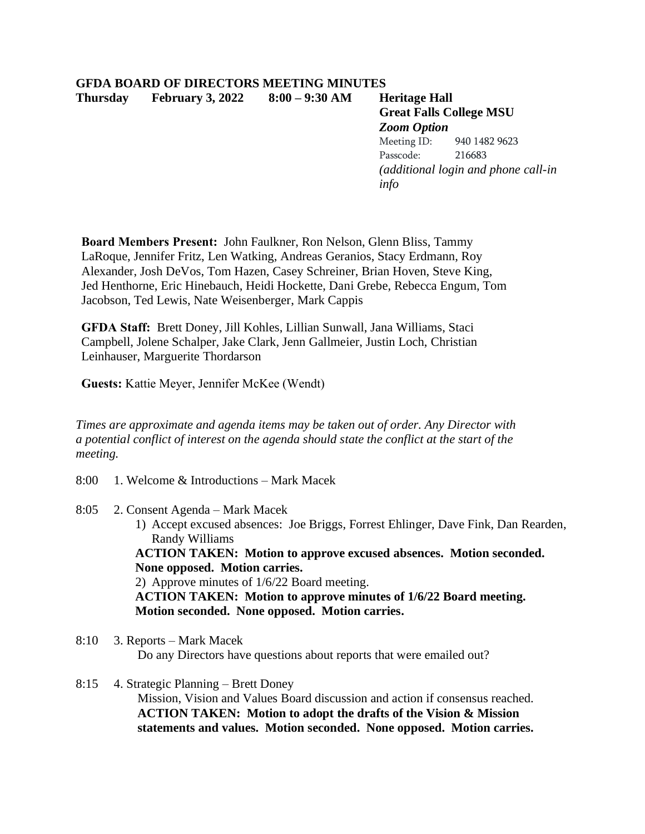## **GFDA BOARD OF DIRECTORS MEETING MINUTES Thursday February 3, 2022 8:00 – 9:30 AM Heritage Hall**

**Great Falls College MSU** *Zoom Option* Meeting ID: 940 1482 9623 Passcode: 216683 *(additional login and phone call-in info*

**Board Members Present:** John Faulkner, Ron Nelson, Glenn Bliss, Tammy LaRoque, Jennifer Fritz, Len Watking, Andreas Geranios, Stacy Erdmann, Roy Alexander, Josh DeVos, Tom Hazen, Casey Schreiner, Brian Hoven, Steve King, Jed Henthorne, Eric Hinebauch, Heidi Hockette, Dani Grebe, Rebecca Engum, Tom Jacobson, Ted Lewis, Nate Weisenberger, Mark Cappis

**GFDA Staff:** Brett Doney, Jill Kohles, Lillian Sunwall, Jana Williams, Staci Campbell, Jolene Schalper, Jake Clark, Jenn Gallmeier, Justin Loch, Christian Leinhauser, Marguerite Thordarson

**Guests:** Kattie Meyer, Jennifer McKee (Wendt)

*Times are approximate and agenda items may be taken out of order. Any Director with a potential conflict of interest on the agenda should state the conflict at the start of the meeting.*

- 8:00 1. Welcome & Introductions Mark Macek
- 8:05 2. Consent Agenda Mark Macek
	- 1) Accept excused absences: Joe Briggs, Forrest Ehlinger, Dave Fink, Dan Rearden, Randy Williams

**ACTION TAKEN: Motion to approve excused absences. Motion seconded. None opposed. Motion carries.**

2) Approve minutes of 1/6/22 Board meeting. **ACTION TAKEN: Motion to approve minutes of 1/6/22 Board meeting.** 

- **Motion seconded. None opposed. Motion carries.**
- 8:10 3. Reports Mark Macek Do any Directors have questions about reports that were emailed out?
- 8:15 4. Strategic Planning Brett Doney Mission, Vision and Values Board discussion and action if consensus reached. **ACTION TAKEN: Motion to adopt the drafts of the Vision & Mission statements and values. Motion seconded. None opposed. Motion carries.**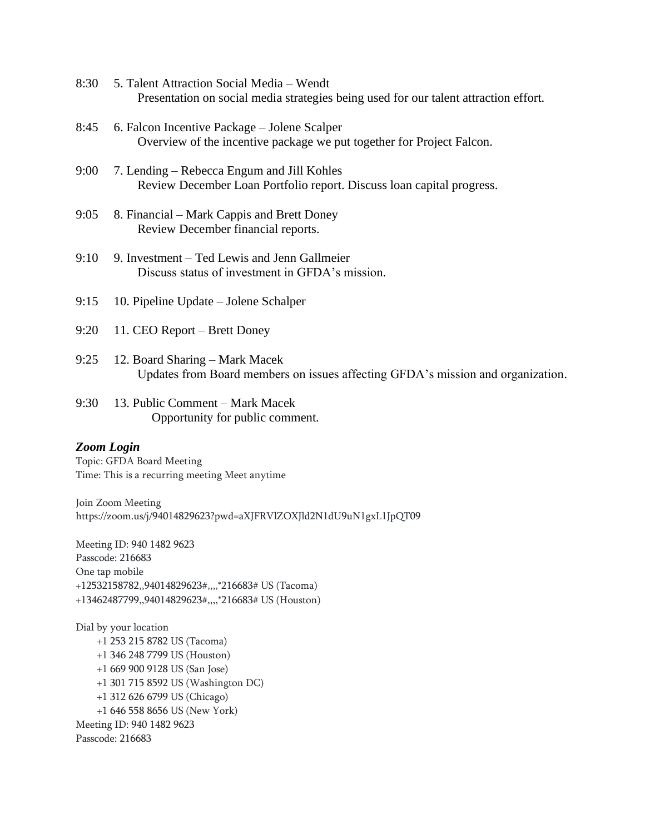- 8:30 5. Talent Attraction Social Media Wendt Presentation on social media strategies being used for our talent attraction effort.
- 8:45 6. Falcon Incentive Package Jolene Scalper Overview of the incentive package we put together for Project Falcon.
- 9:00 7. Lending Rebecca Engum and Jill Kohles Review December Loan Portfolio report. Discuss loan capital progress.
- 9:05 8. Financial Mark Cappis and Brett Doney Review December financial reports.
- 9:10 9. Investment Ted Lewis and Jenn Gallmeier Discuss status of investment in GFDA's mission.
- 9:15 10. Pipeline Update Jolene Schalper
- 9:20 11. CEO Report Brett Doney
- 9:25 12. Board Sharing Mark Macek Updates from Board members on issues affecting GFDA's mission and organization.
- 9:30 13. Public Comment Mark Macek Opportunity for public comment.

## *Zoom Login*

Topic: GFDA Board Meeting Time: This is a recurring meeting Meet anytime

Join Zoom Meeting https://zoom.us/j/94014829623?pwd=aXJFRVlZOXJld2N1dU9uN1gxL1JpQT09

Meeting ID: 940 1482 9623 Passcode: 216683 One tap mobile +12532158782,,94014829623#,,,,\*216683# US (Tacoma) +13462487799,,94014829623#,,,,\*216683# US (Houston)

Dial by your location +1 253 215 8782 US (Tacoma) +1 346 248 7799 US (Houston) +1 669 900 9128 US (San Jose) +1 301 715 8592 US (Washington DC) +1 312 626 6799 US (Chicago) +1 646 558 8656 US (New York) Meeting ID: 940 1482 9623 Passcode: 216683